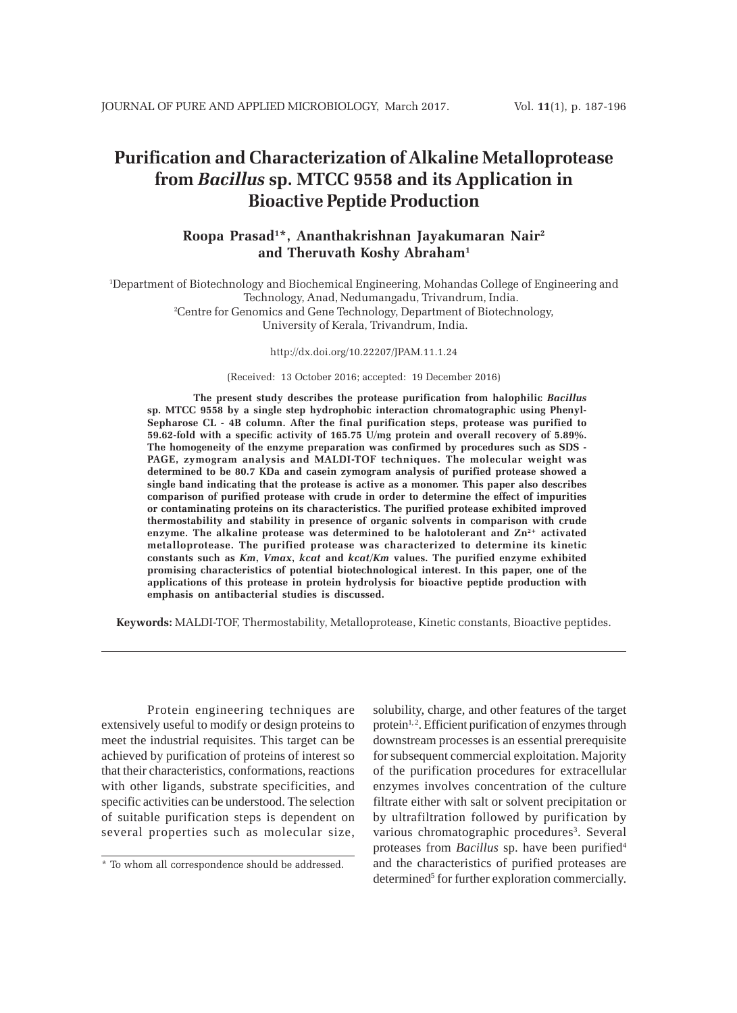# **Purification and Characterization of Alkaline Metalloprotease from** *Bacillus* **sp. MTCC 9558 and its Application in Bioactive Peptide Production**

# **Roopa Prasad1 \*, Ananthakrishnan Jayakumaran Nair2 and Theruvath Koshy Abraham1**

1 Department of Biotechnology and Biochemical Engineering, Mohandas College of Engineering and Technology, Anad, Nedumangadu, Trivandrum, India. 2 Centre for Genomics and Gene Technology, Department of Biotechnology, University of Kerala, Trivandrum, India.

#### http://dx.doi.org/10.22207/JPAM.11.1.24

(Received: 13 October 2016; accepted: 19 December 2016)

**The present study describes the protease purification from halophilic** *Bacillus* **sp. MTCC 9558 by a single step hydrophobic interaction chromatographic using Phenyl-Sepharose CL - 4B column. After the final purification steps, protease was purified to 59.62-fold with a specific activity of 165.75 U/mg protein and overall recovery of 5.89%. The homogeneity of the enzyme preparation was confirmed by procedures such as SDS - PAGE, zymogram analysis and MALDI-TOF techniques. The molecular weight was determined to be 80.7 KDa and casein zymogram analysis of purified protease showed a single band indicating that the protease is active as a monomer. This paper also describes comparison of purified protease with crude in order to determine the effect of impurities or contaminating proteins on its characteristics. The purified protease exhibited improved thermostability and stability in presence of organic solvents in comparison with crude** enzyme. The alkaline protease was determined to be halotolerant and  $\mathbb{Z}n^{2+}$  activated **metalloprotease. The purified protease was characterized to determine its kinetic constants such as** *Km***,** *Vmax***,** *kcat* **and** *kcat/Km* **values. The purified enzyme exhibited promising characteristics of potential biotechnological interest. In this paper, one of the applications of this protease in protein hydrolysis for bioactive peptide production with emphasis on antibacterial studies is discussed.**

**Keywords:** MALDI-TOF, Thermostability, Metalloprotease, Kinetic constants, Bioactive peptides.

Protein engineering techniques are extensively useful to modify or design proteins to meet the industrial requisites. This target can be achieved by purification of proteins of interest so that their characteristics, conformations, reactions with other ligands, substrate specificities, and specific activities can be understood. The selection of suitable purification steps is dependent on several properties such as molecular size, solubility, charge, and other features of the target protein<sup>1,2</sup>. Efficient purification of enzymes through downstream processes is an essential prerequisite for subsequent commercial exploitation. Majority of the purification procedures for extracellular enzymes involves concentration of the culture filtrate either with salt or solvent precipitation or by ultrafiltration followed by purification by various chromatographic procedures<sup>3</sup>. Several proteases from *Bacillus* sp. have been purified4 and the characteristics of purified proteases are determined<sup>5</sup> for further exploration commercially.

<sup>\*</sup> To whom all correspondence should be addressed.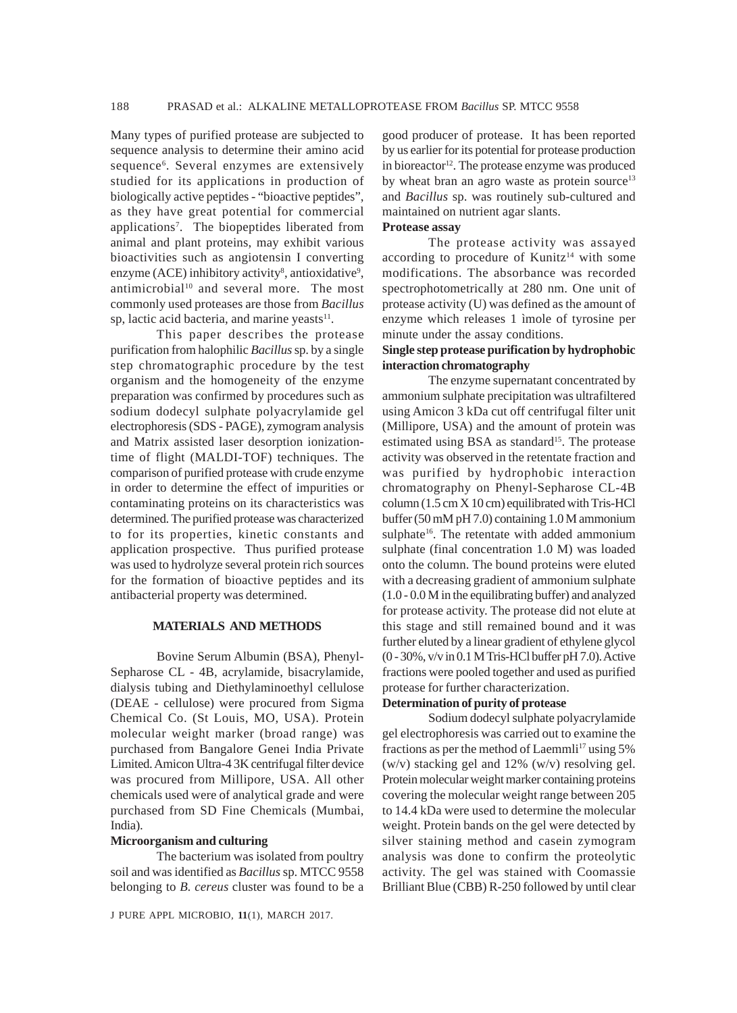Many types of purified protease are subjected to sequence analysis to determine their amino acid sequence<sup>6</sup>. Several enzymes are extensively studied for its applications in production of biologically active peptides - "bioactive peptides", as they have great potential for commercial applications<sup>7</sup>. The biopeptides liberated from animal and plant proteins, may exhibit various bioactivities such as angiotensin I converting enzyme (ACE) inhibitory activity<sup>8</sup>, antioxidative<sup>9</sup>, antimicrobial<sup>10</sup> and several more. The most commonly used proteases are those from *Bacillus* sp, lactic acid bacteria, and marine yeasts $11$ .

This paper describes the protease purification from halophilic *Bacillus* sp. by a single step chromatographic procedure by the test organism and the homogeneity of the enzyme preparation was confirmed by procedures such as sodium dodecyl sulphate polyacrylamide gel electrophoresis (SDS - PAGE), zymogram analysis and Matrix assisted laser desorption ionizationtime of flight (MALDI-TOF) techniques. The comparison of purified protease with crude enzyme in order to determine the effect of impurities or contaminating proteins on its characteristics was determined. The purified protease was characterized to for its properties, kinetic constants and application prospective. Thus purified protease was used to hydrolyze several protein rich sources for the formation of bioactive peptides and its antibacterial property was determined.

#### **MATERIALS AND METHODS**

Bovine Serum Albumin (BSA), Phenyl-Sepharose CL - 4B, acrylamide, bisacrylamide, dialysis tubing and Diethylaminoethyl cellulose (DEAE - cellulose) were procured from Sigma Chemical Co. (St Louis, MO, USA). Protein molecular weight marker (broad range) was purchased from Bangalore Genei India Private Limited. Amicon Ultra-4 3K centrifugal filter device was procured from Millipore, USA. All other chemicals used were of analytical grade and were purchased from SD Fine Chemicals (Mumbai, India).

#### **Microorganism and culturing**

The bacterium was isolated from poultry soil and was identified as *Bacillus* sp. MTCC 9558 belonging to *B. cereus* cluster was found to be a

good producer of protease. It has been reported by us earlier for its potential for protease production in bioreactor<sup>12</sup>. The protease enzyme was produced by wheat bran an agro waste as protein source<sup>13</sup> and *Bacillus* sp. was routinely sub-cultured and maintained on nutrient agar slants.

# **Protease assay**

The protease activity was assayed according to procedure of Kunitz<sup>14</sup> with some modifications. The absorbance was recorded spectrophotometrically at 280 nm. One unit of protease activity (U) was defined as the amount of enzyme which releases 1 ìmole of tyrosine per minute under the assay conditions.

### **Single step protease purification by hydrophobic interaction chromatography**

The enzyme supernatant concentrated by ammonium sulphate precipitation was ultrafiltered using Amicon 3 kDa cut off centrifugal filter unit (Millipore, USA) and the amount of protein was estimated using BSA as standard<sup>15</sup>. The protease activity was observed in the retentate fraction and was purified by hydrophobic interaction chromatography on Phenyl-Sepharose CL-4B column (1.5 cm X 10 cm) equilibrated with Tris-HCl buffer (50 mM pH 7.0) containing 1.0 M ammonium sulphate<sup>16</sup>. The retentate with added ammonium sulphate (final concentration 1.0 M) was loaded onto the column. The bound proteins were eluted with a decreasing gradient of ammonium sulphate (1.0 - 0.0 M in the equilibrating buffer) and analyzed for protease activity. The protease did not elute at this stage and still remained bound and it was further eluted by a linear gradient of ethylene glycol (0 - 30%, v/v in 0.1 M Tris-HCl buffer pH 7.0). Active fractions were pooled together and used as purified protease for further characterization.

## **Determination of purity of protease**

Sodium dodecyl sulphate polyacrylamide gel electrophoresis was carried out to examine the fractions as per the method of Laemmli<sup>17</sup> using  $5\%$ (w/v) stacking gel and 12% (w/v) resolving gel. Protein molecular weight marker containing proteins covering the molecular weight range between 205 to 14.4 kDa were used to determine the molecular weight. Protein bands on the gel were detected by silver staining method and casein zymogram analysis was done to confirm the proteolytic activity. The gel was stained with Coomassie Brilliant Blue (CBB) R-250 followed by until clear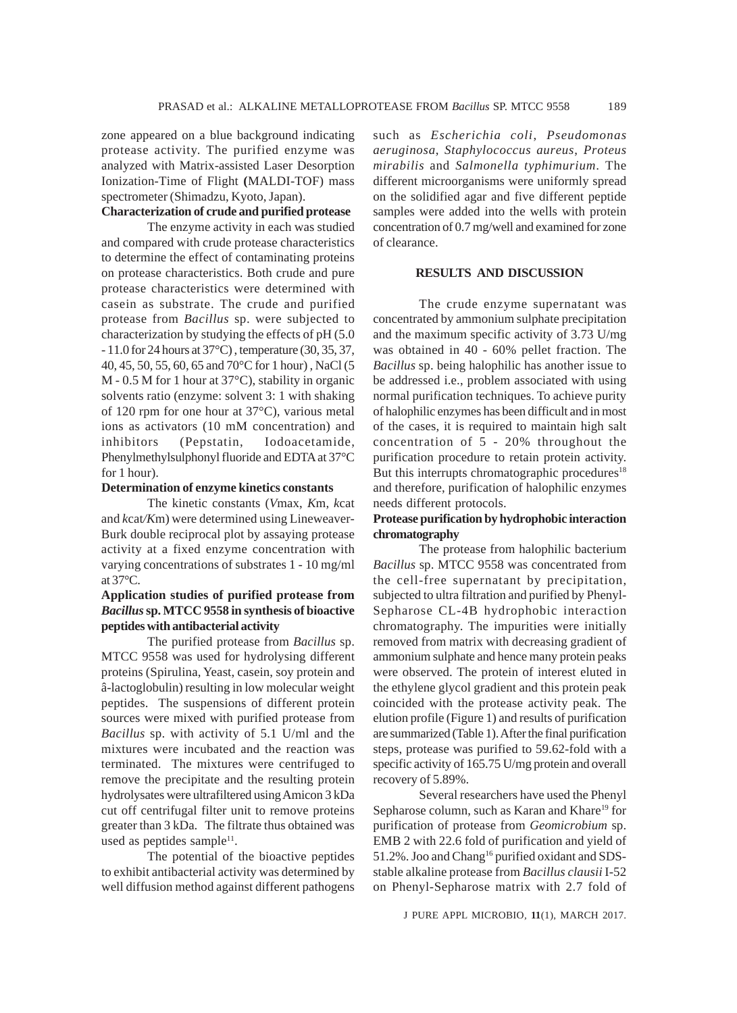zone appeared on a blue background indicating protease activity. The purified enzyme was analyzed with Matrix-assisted Laser Desorption Ionization-Time of Flight **(**MALDI-TOF) mass spectrometer (Shimadzu, Kyoto, Japan).

# **Characterization of crude and purified protease**

The enzyme activity in each was studied and compared with crude protease characteristics to determine the effect of contaminating proteins on protease characteristics. Both crude and pure protease characteristics were determined with casein as substrate. The crude and purified protease from *Bacillus* sp. were subjected to characterization by studying the effects of pH (5.0 - 11.0 for 24 hours at 37°C) , temperature (30, 35, 37, 40, 45, 50, 55, 60, 65 and 70°C for 1 hour) , NaCl (5 M - 0.5 M for 1 hour at 37°C), stability in organic solvents ratio (enzyme: solvent 3: 1 with shaking of 120 rpm for one hour at 37°C), various metal ions as activators (10 mM concentration) and inhibitors (Pepstatin, Iodoacetamide, Phenylmethylsulphonyl fluoride and EDTA at 37°C for 1 hour).

#### **Determination of enzyme kinetics constants**

The kinetic constants (*V*max, *K*m, *k*cat and *k*cat*/K*m) were determined using Lineweaver-Burk double reciprocal plot by assaying protease activity at a fixed enzyme concentration with varying concentrations of substrates 1 - 10 mg/ml at 37°C.

# **Application studies of purified protease from** *Bacillus* **sp. MTCC 9558 in synthesis of bioactive peptides with antibacterial activity**

The purified protease from *Bacillus* sp. MTCC 9558 was used for hydrolysing different proteins (Spirulina, Yeast, casein, soy protein and â-lactoglobulin) resulting in low molecular weight peptides. The suspensions of different protein sources were mixed with purified protease from *Bacillus* sp. with activity of 5.1 U/ml and the mixtures were incubated and the reaction was terminated. The mixtures were centrifuged to remove the precipitate and the resulting protein hydrolysates were ultrafiltered using Amicon 3 kDa cut off centrifugal filter unit to remove proteins greater than 3 kDa. The filtrate thus obtained was used as peptides sample $11$ .

The potential of the bioactive peptides to exhibit antibacterial activity was determined by well diffusion method against different pathogens such as *Escherichia coli*, *Pseudomonas aeruginosa*, *Staphylococcus aureus*, *Proteus mirabilis* and *Salmonella typhimurium*. The different microorganisms were uniformly spread on the solidified agar and five different peptide samples were added into the wells with protein concentration of 0.7 mg/well and examined for zone of clearance.

#### **RESULTS AND DISCUSSION**

The crude enzyme supernatant was concentrated by ammonium sulphate precipitation and the maximum specific activity of 3.73 U/mg was obtained in 40 - 60% pellet fraction. The *Bacillus* sp. being halophilic has another issue to be addressed i.e., problem associated with using normal purification techniques. To achieve purity of halophilic enzymes has been difficult and in most of the cases, it is required to maintain high salt concentration of 5 - 20% throughout the purification procedure to retain protein activity. But this interrupts chromatographic procedures<sup>18</sup> and therefore, purification of halophilic enzymes needs different protocols.

## **Protease purification by hydrophobic interaction chromatography**

The protease from halophilic bacterium *Bacillus* sp. MTCC 9558 was concentrated from the cell-free supernatant by precipitation, subjected to ultra filtration and purified by Phenyl-Sepharose CL-4B hydrophobic interaction chromatography. The impurities were initially removed from matrix with decreasing gradient of ammonium sulphate and hence many protein peaks were observed. The protein of interest eluted in the ethylene glycol gradient and this protein peak coincided with the protease activity peak. The elution profile (Figure 1) and results of purification are summarized (Table 1). After the final purification steps, protease was purified to 59.62-fold with a specific activity of 165.75 U/mg protein and overall recovery of 5.89%.

Several researchers have used the Phenyl Sepharose column, such as Karan and Khare<sup>19</sup> for purification of protease from *Geomicrobium* sp. EMB 2 with 22.6 fold of purification and yield of 51.2%. Joo and Chang<sup>16</sup> purified oxidant and SDSstable alkaline protease from *Bacillus clausii* I-52 on Phenyl-Sepharose matrix with 2.7 fold of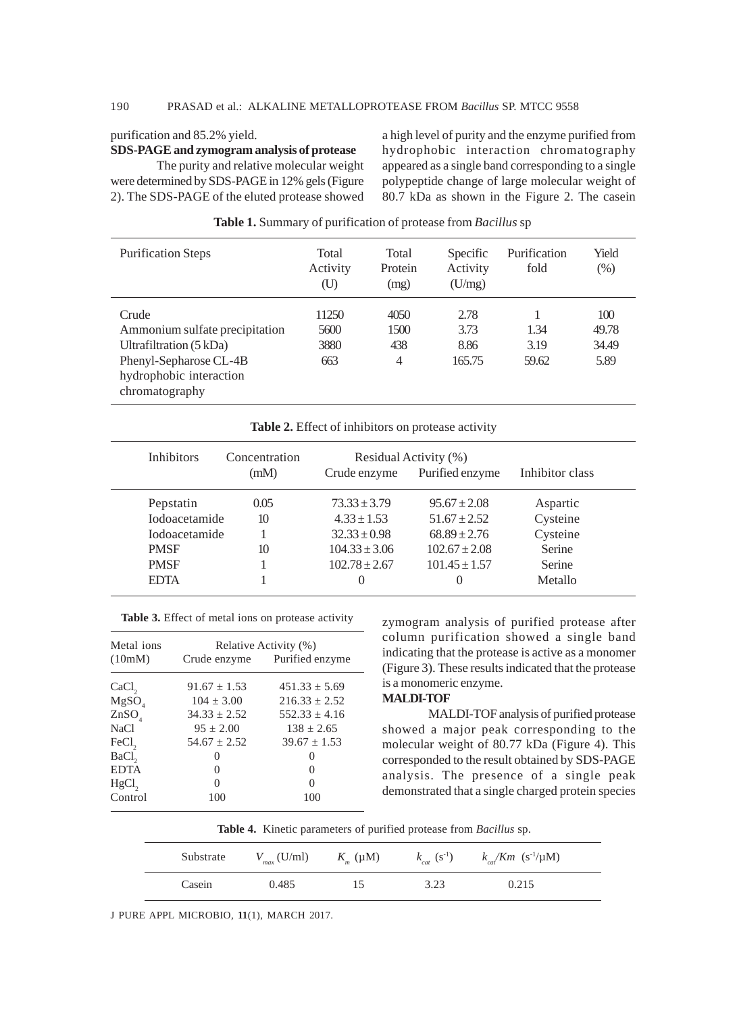# 190 PRASAD et al.: ALKALINE METALLOPROTEASE FROM *Bacillus* SP. MTCC 9558

#### purification and 85.2% yield.

#### **SDS-PAGE and zymogram analysis of protease**

The purity and relative molecular weight were determined by SDS-PAGE in 12% gels (Figure 2). The SDS-PAGE of the eluted protease showed a high level of purity and the enzyme purified from hydrophobic interaction chromatography appeared as a single band corresponding to a single polypeptide change of large molecular weight of 80.7 kDa as shown in the Figure 2. The casein

| <b>Purification Steps</b>                                                                                                                           | Total<br>Activity<br>(U)     | Total<br>Protein<br>(mg)              | Specific<br>Activity<br>(U/mg) | Purification<br>fold  | Yield<br>(% )                 |
|-----------------------------------------------------------------------------------------------------------------------------------------------------|------------------------------|---------------------------------------|--------------------------------|-----------------------|-------------------------------|
| Crude<br>Ammonium sulfate precipitation<br>Ultrafiltration $(5 \text{ kDa})$<br>Phenyl-Sepharose CL-4B<br>hydrophobic interaction<br>chromatography | 11250<br>5600<br>3880<br>663 | 4050<br>1500<br>438<br>$\overline{4}$ | 2.78<br>3.73<br>8.86<br>165.75 | 1.34<br>3.19<br>59.62 | 100<br>49.78<br>34.49<br>5.89 |

| Table 1. Summary of purification of protease from Bacillus sp |  |  |  |
|---------------------------------------------------------------|--|--|--|
|                                                               |  |  |  |

| <b>Inhibitors</b>     | Concentration |                   | Residual Activity (%) |                 |
|-----------------------|---------------|-------------------|-----------------------|-----------------|
|                       | (mM)          | Crude enzyme      | Purified enzyme       | Inhibitor class |
| Pepstatin             | 0.05          | $73.33 \pm 3.79$  | $95.67 \pm 2.08$      | Aspartic        |
| <b>I</b> odoacetamide | 10            | $4.33 \pm 1.53$   | $51.67 \pm 2.52$      | Cysteine        |
| <b>I</b> odoacetamide |               | $32.33 \pm 0.98$  | $68.89 + 2.76$        | Cysteine        |
| <b>PMSF</b>           | 10            | $104.33 \pm 3.06$ | $102.67 \pm 2.08$     | Serine          |
| <b>PMSF</b>           |               | $102.78 \pm 2.67$ | $101.45 \pm 1.57$     | Serine          |
| <b>EDTA</b>           |               | $\theta$          |                       | Metallo         |

| Table 3. Effect of metal ions on protease activity |  |  |  |
|----------------------------------------------------|--|--|--|
|                                                    |  |  |  |

| Metal ions        | Relative Activity (%) |                              |  |  |
|-------------------|-----------------------|------------------------------|--|--|
| (10mM)            |                       | Crude enzyme Purified enzyme |  |  |
| CaCl <sub>2</sub> | $91.67 \pm 1.53$      | $451.33 \pm 5.69$            |  |  |
| MgSO <sub>4</sub> | $104 + 3.00$          | $216.33 + 2.52$              |  |  |
| ZnSO <sub>4</sub> | $34.33 \pm 2.52$      | $552.33 + 4.16$              |  |  |
| NaCl              | $95 \pm 2.00$         | $138 + 2.65$                 |  |  |
| FeCl <sub>2</sub> | $54.67 \pm 2.52$      | $39.67 \pm 1.53$             |  |  |
| BaCl <sub>2</sub> | $\mathbf{0}$          | $\mathbf{0}$                 |  |  |
| <b>EDTA</b>       | $\mathbf{0}$          | 0                            |  |  |
| $HgCl$ ,          | 0                     | 0                            |  |  |
| Control           | 100                   | 100                          |  |  |

zymogram analysis of purified protease after column purification showed a single band indicating that the protease is active as a monomer (Figure 3). These results indicated that the protease is a monomeric enzyme.

## **MALDI-TOF**

MALDI-TOF analysis of purified protease showed a major peak corresponding to the molecular weight of 80.77 kDa (Figure 4). This corresponded to the result obtained by SDS-PAGE analysis. The presence of a single peak demonstrated that a single charged protein species

| Table 4. Kinetic parameters of purified protease from Bacillus sp. |  |
|--------------------------------------------------------------------|--|
|--------------------------------------------------------------------|--|

| Substrate | $V_{max}$ (U/ml) | $K_{m}(\mu M)$ | $k_{cat}$ (s <sup>-1</sup> ) | $k_{ca}/Km$ (s <sup>-1</sup> /µM) |
|-----------|------------------|----------------|------------------------------|-----------------------------------|
| Casein    | 0.485            |                | 3.23                         | 0.215                             |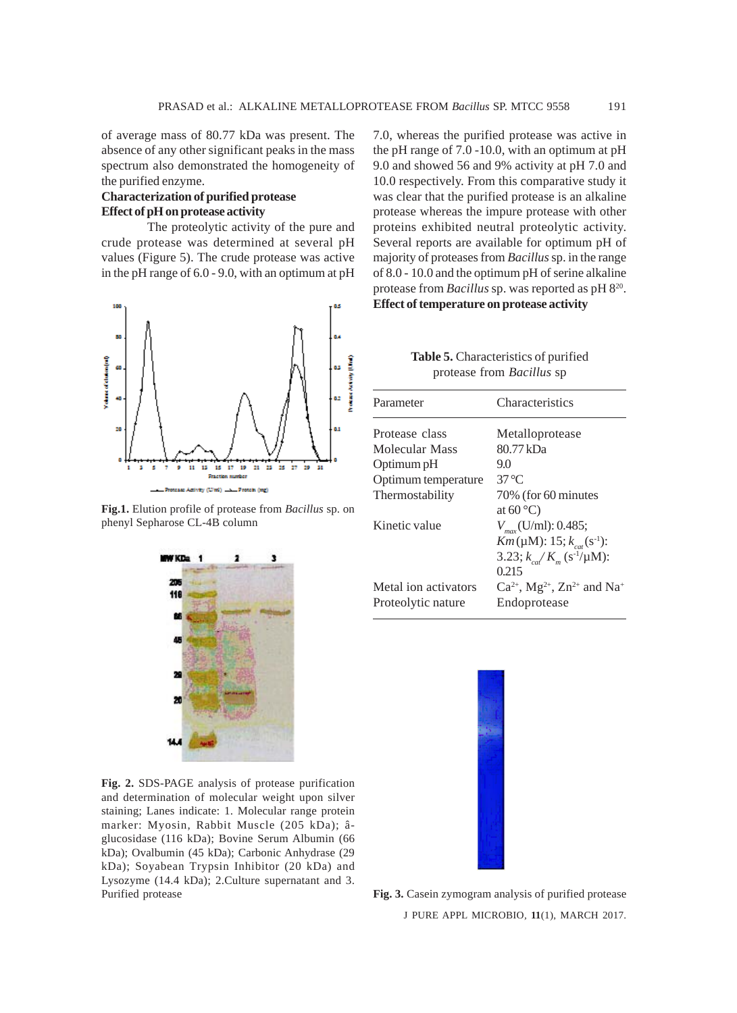of average mass of 80.77 kDa was present. The absence of any other significant peaks in the mass spectrum also demonstrated the homogeneity of the purified enzyme.

# **Characterization of purified protease Effect of pH on protease activity**

The proteolytic activity of the pure and crude protease was determined at several pH values (Figure 5). The crude protease was active in the pH range of 6.0 - 9.0, with an optimum at pH



**Fig.1.** Elution profile of protease from *Bacillus* sp. on phenyl Sepharose CL-4B column



**Fig. 2.** SDS-PAGE analysis of protease purification and determination of molecular weight upon silver staining; Lanes indicate: 1. Molecular range protein marker: Myosin, Rabbit Muscle (205 kDa); âglucosidase (116 kDa); Bovine Serum Albumin (66 kDa); Ovalbumin (45 kDa); Carbonic Anhydrase (29 kDa); Soyabean Trypsin Inhibitor (20 kDa) and Lysozyme (14.4 kDa); 2.Culture supernatant and 3. Purified protease **Fig. 3.** Casein zymogram analysis of purified protease

7.0, whereas the purified protease was active in the pH range of 7.0 -10.0, with an optimum at pH 9.0 and showed 56 and 9% activity at pH 7.0 and 10.0 respectively. From this comparative study it was clear that the purified protease is an alkaline protease whereas the impure protease with other proteins exhibited neutral proteolytic activity. Several reports are available for optimum pH of majority of proteases from *Bacillus* sp. in the range of 8.0 - 10.0 and the optimum pH of serine alkaline protease from *Bacillus* sp. was reported as pH 820. **Effect of temperature on protease activity**

| <b>Table 5.</b> Characteristics of purified |  |
|---------------------------------------------|--|
| protease from Bacillus sp                   |  |

| Parameter            | Characteristics                                                     |
|----------------------|---------------------------------------------------------------------|
| Protease class       | Metalloprotease                                                     |
| Molecular Mass       | 80.77 kDa                                                           |
| Optimum pH           | 9.0                                                                 |
| Optimum temperature  | $37^{\circ}$ C                                                      |
| Thermostability      | 70% (for 60 minutes                                                 |
|                      | at $60^{\circ}$ C)                                                  |
| Kinetic value        | $V_{\text{max}}$ (U/ml): 0.485;                                     |
|                      | $Km(\mu M)$ : 15; $k_{cat}(s^{-1})$ :                               |
|                      | 3.23; $k_{ca}/K_{m}$ (s <sup>-1</sup> /µM):                         |
|                      | 0.215                                                               |
| Metal ion activators | $Ca^{2+}$ , Mg <sup>2+</sup> , Zn <sup>2+</sup> and Na <sup>+</sup> |
| Proteolytic nature   | Endoprotease                                                        |



J PURE APPL MICROBIO*,* **11**(1), MARCH 2017.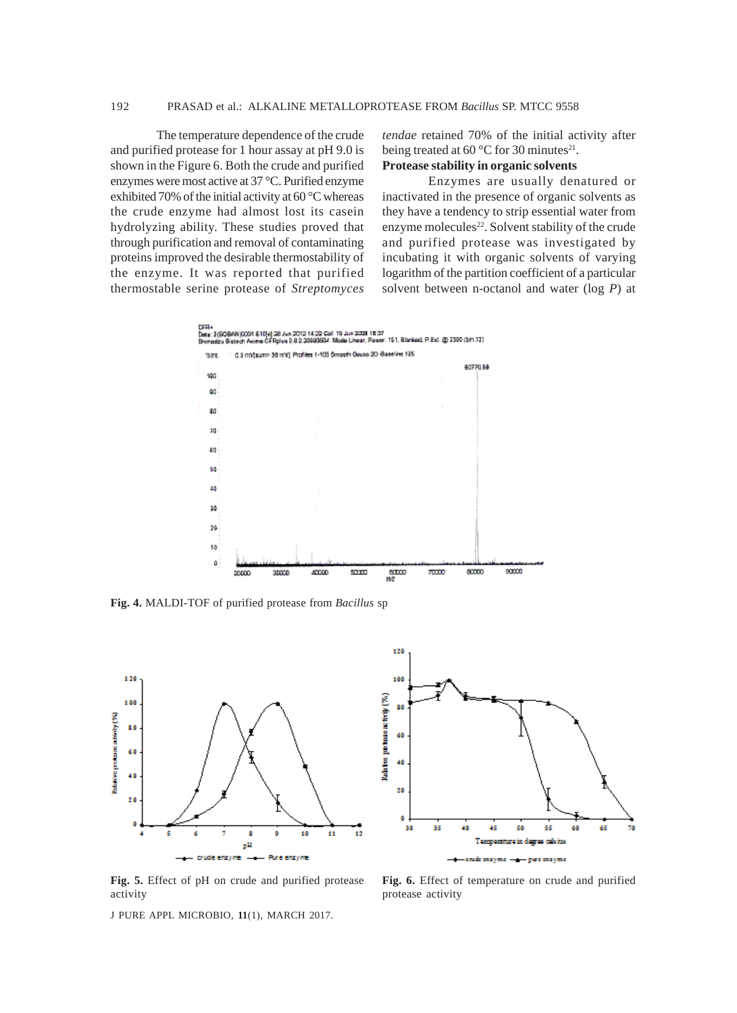## 192 PRASAD et al.: ALKALINE METALLOPROTEASE FROM *Bacillus* SP. MTCC 9558

The temperature dependence of the crude and purified protease for 1 hour assay at pH 9.0 is shown in the Figure 6. Both the crude and purified enzymes were most active at 37 °C. Purified enzyme exhibited 70% of the initial activity at 60 °C whereas the crude enzyme had almost lost its casein hydrolyzing ability. These studies proved that through purification and removal of contaminating proteins improved the desirable thermostability of the enzyme. It was reported that purified thermostable serine protease of *Streptomyces* *tendae* retained 70% of the initial activity after being treated at 60  $^{\circ}$ C for 30 minutes<sup>21</sup>. **Protease stability in organic solvents**

Enzymes are usually denatured or inactivated in the presence of organic solvents as they have a tendency to strip essential water from enzyme molecules<sup>22</sup>. Solvent stability of the crude and purified protease was investigated by incubating it with organic solvents of varying logarithm of the partition coefficient of a particular solvent between n-octanol and water (log *P*) at



**Fig. 4.** MALDI-TOF of purified protease from *Bacillus* sp





**Fig. 5.** Effect of pH on crude and purified protease activity

**Fig. 6.** Effect of temperature on crude and purified protease activity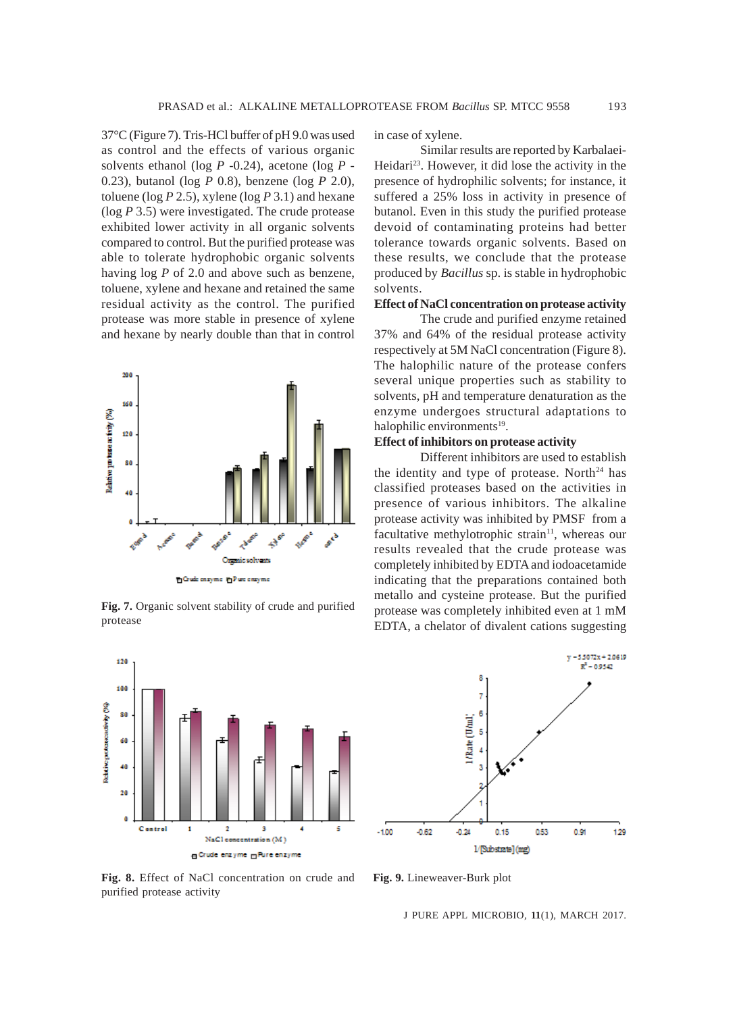37°C (Figure 7). Tris-HCl buffer of pH 9.0 was used as control and the effects of various organic solvents ethanol (log *P* -0.24), acetone (log *P* - 0.23), butanol (log *P* 0.8), benzene (log *P* 2.0), toluene (log *P* 2.5), xylene (log *P* 3.1) and hexane (log *P* 3.5) were investigated. The crude protease exhibited lower activity in all organic solvents compared to control. But the purified protease was able to tolerate hydrophobic organic solvents having log *P* of 2.0 and above such as benzene, toluene, xylene and hexane and retained the same residual activity as the control. The purified protease was more stable in presence of xylene and hexane by nearly double than that in control



**Fig. 7.** Organic solvent stability of crude and purified protease



in case of xylene.

Similar results are reported by Karbalaei-Heidari<sup>23</sup>. However, it did lose the activity in the presence of hydrophilic solvents; for instance, it suffered a 25% loss in activity in presence of butanol. Even in this study the purified protease devoid of contaminating proteins had better tolerance towards organic solvents. Based on these results, we conclude that the protease produced by *Bacillus* sp. is stable in hydrophobic solvents.

#### **Effect of NaCl concentration on protease activity**

The crude and purified enzyme retained 37% and 64% of the residual protease activity respectively at 5M NaCl concentration (Figure 8). The halophilic nature of the protease confers several unique properties such as stability to solvents, pH and temperature denaturation as the enzyme undergoes structural adaptations to halophilic environments<sup>19</sup>.

## **Effect of inhibitors on protease activity**

Different inhibitors are used to establish the identity and type of protease. North<sup>24</sup> has classified proteases based on the activities in presence of various inhibitors. The alkaline protease activity was inhibited by PMSF from a facultative methylotrophic strain<sup>11</sup>, whereas our results revealed that the crude protease was completely inhibited by EDTA and iodoacetamide indicating that the preparations contained both metallo and cysteine protease. But the purified protease was completely inhibited even at 1 mM EDTA, a chelator of divalent cations suggesting



**Fig. 8.** Effect of NaCl concentration on crude and purified protease activity

**Fig. 9.** Lineweaver-Burk plot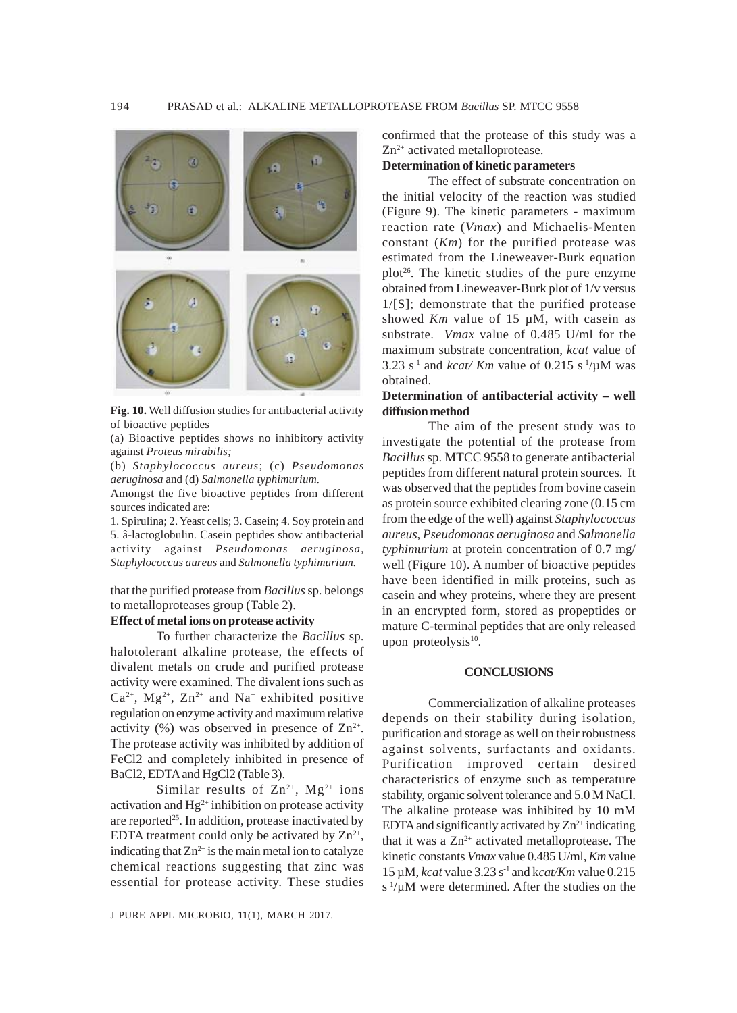

**Fig. 10.** Well diffusion studies for antibacterial activity of bioactive peptides

(a) Bioactive peptides shows no inhibitory activity against *Proteus mirabilis;*

(b) *Staphylococcus aureus*; (c) *Pseudomonas aeruginosa* and (d) *Salmonella typhimurium.*

Amongst the five bioactive peptides from different sources indicated are:

1. Spirulina; 2. Yeast cells; 3. Casein; 4. Soy protein and 5. â-lactoglobulin. Casein peptides show antibacterial activity against *Pseudomonas aeruginosa*, *Staphylococcus aureus* and *Salmonella typhimurium.*

that the purified protease from *Bacillus* sp. belongs to metalloproteases group (Table 2).

#### **Effect of metal ions on protease activity**

To further characterize the *Bacillus* sp. halotolerant alkaline protease, the effects of divalent metals on crude and purified protease activity were examined. The divalent ions such as  $Ca^{2+}$ , Mg<sup>2+</sup>, Zn<sup>2+</sup> and Na<sup>+</sup> exhibited positive regulation on enzyme activity and maximum relative activity (%) was observed in presence of  $\text{Zn}^{2+}$ . The protease activity was inhibited by addition of FeCl2 and completely inhibited in presence of BaCl2, EDTA and HgCl2 (Table 3).

Similar results of  $Zn^{2+}$ , Mg<sup>2+</sup> ions activation and  $Hg^{2+}$  inhibition on protease activity are reported<sup>25</sup>. In addition, protease inactivated by EDTA treatment could only be activated by  $\mathbb{Z}n^{2+}$ , indicating that  $Zn^{2+}$  is the main metal ion to catalyze chemical reactions suggesting that zinc was essential for protease activity. These studies confirmed that the protease of this study was a  $Zn^{2+}$  activated metalloprotease.

#### **Determination of kinetic parameters**

The effect of substrate concentration on the initial velocity of the reaction was studied (Figure 9). The kinetic parameters - maximum reaction rate (*Vmax*) and Michaelis-Menten constant (*Km*) for the purified protease was estimated from the Lineweaver-Burk equation plot<sup>26</sup>. The kinetic studies of the pure enzyme obtained from Lineweaver-Burk plot of 1/v versus 1/[S]; demonstrate that the purified protease showed *Km* value of 15 µM, with casein as substrate. *Vmax* value of 0.485 U/ml for the maximum substrate concentration, *kcat* value of 3.23 s<sup>-1</sup> and *kcat/ Km* value of 0.215 s<sup>-1</sup>/ $\mu$ M was obtained.

#### **Determination of antibacterial activity – well diffusion method**

The aim of the present study was to investigate the potential of the protease from *Bacillus* sp. MTCC 9558 to generate antibacterial peptides from different natural protein sources. It was observed that the peptides from bovine casein as protein source exhibited clearing zone (0.15 cm from the edge of the well) against *Staphylococcus aureus*, *Pseudomonas aeruginosa* and *Salmonella typhimurium* at protein concentration of 0.7 mg/ well (Figure 10). A number of bioactive peptides have been identified in milk proteins, such as casein and whey proteins, where they are present in an encrypted form, stored as propeptides or mature C-terminal peptides that are only released upon proteolysis $10$ .

#### **CONCLUSIONS**

Commercialization of alkaline proteases depends on their stability during isolation, purification and storage as well on their robustness against solvents, surfactants and oxidants. Purification improved certain desired characteristics of enzyme such as temperature stability, organic solvent tolerance and 5.0 M NaCl. The alkaline protease was inhibited by 10 mM EDTA and significantly activated by  $Zn^{2+}$  indicating that it was a  $Zn^{2+}$  activated metalloprotease. The kinetic constants *Vmax* value 0.485 U/ml, *Km* value 15 µM, *kcat* value 3.23 s-1 and k*cat/Km* value 0.215  $s^{-1}/\mu M$  were determined. After the studies on the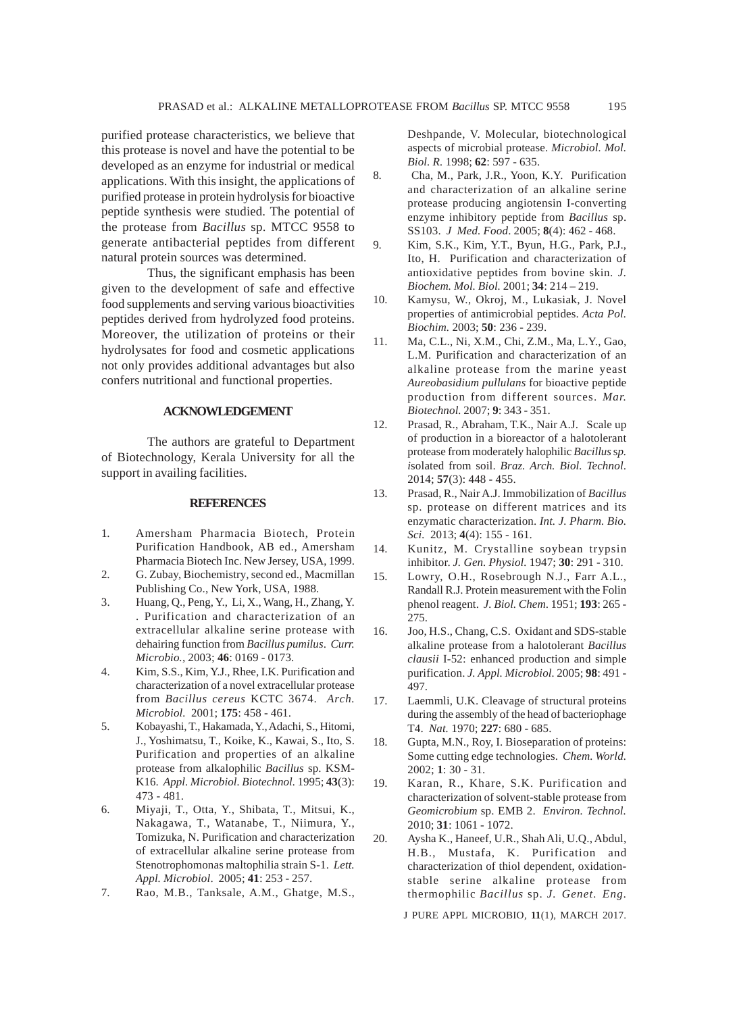purified protease characteristics, we believe that this protease is novel and have the potential to be developed as an enzyme for industrial or medical applications. With this insight, the applications of purified protease in protein hydrolysis for bioactive peptide synthesis were studied. The potential of the protease from *Bacillus* sp. MTCC 9558 to generate antibacterial peptides from different natural protein sources was determined.

Thus, the significant emphasis has been given to the development of safe and effective food supplements and serving various bioactivities peptides derived from hydrolyzed food proteins. Moreover, the utilization of proteins or their hydrolysates for food and cosmetic applications not only provides additional advantages but also confers nutritional and functional properties.

#### **ACKNOWLEDGEMENT**

The authors are grateful to Department of Biotechnology, Kerala University for all the support in availing facilities.

#### **REFERENCES**

- 1. Amersham Pharmacia Biotech, Protein Purification Handbook, AB ed., Amersham Pharmacia Biotech Inc. New Jersey, USA, 1999.
- 2. G. Zubay, Biochemistry*,* second ed., Macmillan Publishing Co., New York, USA, 1988.
- 3. Huang, Q., Peng, Y., Li, X., Wang, H., Zhang, Y. . Purification and characterization of an extracellular alkaline serine protease with dehairing function from *Bacillus pumilus*. *Curr. Microbio.,* 2003; **46**: 0169 - 0173.
- 4. Kim, S.S., Kim, Y.J., Rhee, I.K. Purification and characterization of a novel extracellular protease from *Bacillus cereus* KCTC 3674. *Arch. Microbiol.* 2001; **175**: 458 - 461.
- 5. Kobayashi, T., Hakamada, Y., Adachi, S., Hitomi, J., Yoshimatsu, T., Koike, K., Kawai, S., Ito, S. Purification and properties of an alkaline protease from alkalophilic *Bacillus* sp. KSM-K16. *Appl. Microbiol. Biotechnol.* 1995; **43**(3): 473 - 481.
- 6. Miyaji, T., Otta, Y., Shibata, T., Mitsui, K., Nakagawa, T., Watanabe, T., Niimura, Y., Tomizuka, N. Purification and characterization of extracellular alkaline serine protease from Stenotrophomonas maltophilia strain S-1. *Lett. Appl. Microbiol*. 2005; **41**: 253 - 257.
- 7. Rao, M.B., Tanksale, A.M., Ghatge, M.S.,

Deshpande, V. Molecular, biotechnological aspects of microbial protease. *Microbiol. Mol. Biol. R.* 1998; **62**: 597 - 635.

- 8. Cha, M., Park, J.R., Yoon, K.Y. Purification and characterization of an alkaline serine protease producing angiotensin I-converting enzyme inhibitory peptide from *Bacillus* sp. SS103. *J Med. Food*. 2005; **8**(4): 462 - 468.
- 9. Kim, S.K., Kim, Y.T., Byun, H.G., Park, P.J., Ito, H. Purification and characterization of antioxidative peptides from bovine skin. *J. Biochem. Mol. Biol.* 2001; **34**: 214 – 219.
- 10. Kamysu, W., Okroj, M., Lukasiak, J. Novel properties of antimicrobial peptides. *Acta Pol. Biochim.* 2003; **50**: 236 - 239.
- 11. Ma, C.L., Ni, X.M., Chi, Z.M., Ma, L.Y., Gao, L.M. Purification and characterization of an alkaline protease from the marine yeast *Aureobasidium pullulans* for bioactive peptide production from different sources. *Mar. Biotechnol.* 2007; **9**: 343 - 351.
- 12. Prasad, R., Abraham, T.K., Nair A.J. Scale up of production in a bioreactor of a halotolerant protease from moderately halophilic *Bacillus* s*p. i*solated from soil. *Braz. Arch. Biol. Technol*. 2014; **57**(3): 448 - 455.
- 13. Prasad, R., Nair A.J. Immobilization of *Bacillus* sp. protease on different matrices and its enzymatic characterization. *Int. J. Pharm. Bio. Sci.* 2013; **4**(4): 155 - 161.
- 14. Kunitz, M. Crystalline soybean trypsin inhibitor. *J. Gen. Physiol.* 1947; **30**: 291 - 310.
- 15. Lowry, O.H., Rosebrough N.J., Farr A.L., Randall R.J. Protein measurement with the Folin phenol reagent. *J. Biol. Chem*. 1951; **193**: 265 - 275.
- 16. Joo, H.S., Chang, C.S. Oxidant and SDS-stable alkaline protease from a halotolerant *Bacillus clausii* I-52: enhanced production and simple purification. *J. Appl. Microbiol.* 2005; **98**: 491 - 497.
- 17. Laemmli, U.K. Cleavage of structural proteins during the assembly of the head of bacteriophage T4. *Nat.* 1970; **227**: 680 - 685.
- 18. Gupta, M.N., Roy, I. Bioseparation of proteins: Some cutting edge technologies. *Chem. World.* 2002; **1**: 30 - 31.
- 19. Karan, R., Khare, S.K. Purification and characterization of solvent-stable protease from *Geomicrobium* sp. EMB 2. *Environ. Technol.* 2010; **31**: 1061 - 1072.
- 20. Aysha K., Haneef, U.R., Shah Ali, U.Q., Abdul, H.B., Mustafa, K. Purification and characterization of thiol dependent, oxidationstable serine alkaline protease from thermophilic *Bacillus* sp. *J. Genet. Eng.*